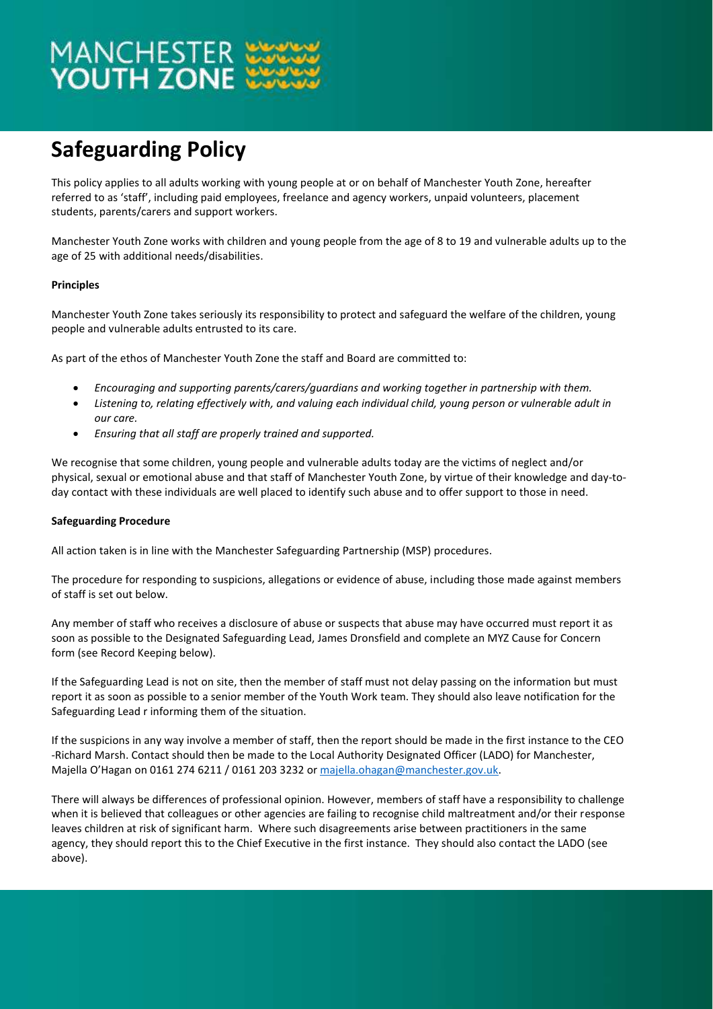# MANCHESTER<br>**YOUTH ZONE**

### **Safeguarding Policy**

This policy applies to all adults working with young people at or on behalf of Manchester Youth Zone, hereafter referred to as 'staff', including paid employees, freelance and agency workers, unpaid volunteers, placement students, parents/carers and support workers.

Manchester Youth Zone works with children and young people from the age of 8 to 19 and vulnerable adults up to the age of 25 with additional needs/disabilities.

#### **Principles**

Manchester Youth Zone takes seriously its responsibility to protect and safeguard the welfare of the children, young people and vulnerable adults entrusted to its care.

As part of the ethos of Manchester Youth Zone the staff and Board are committed to:

- *Encouraging and supporting parents/carers/guardians and working together in partnership with them.*
- *Listening to, relating effectively with, and valuing each individual child, young person or vulnerable adult in our care.*
- *Ensuring that all staff are properly trained and supported.*

We recognise that some children, young people and vulnerable adults today are the victims of neglect and/or physical, sexual or emotional abuse and that staff of Manchester Youth Zone, by virtue of their knowledge and day-today contact with these individuals are well placed to identify such abuse and to offer support to those in need.

#### **Safeguarding Procedure**

All action taken is in line with the Manchester Safeguarding Partnership (MSP) procedures.

The procedure for responding to suspicions, allegations or evidence of abuse, including those made against members of staff is set out below.

Any member of staff who receives a disclosure of abuse or suspects that abuse may have occurred must report it as soon as possible to the Designated Safeguarding Lead, James Dronsfield and complete an MYZ Cause for Concern form (see Record Keeping below).

If the Safeguarding Lead is not on site, then the member of staff must not delay passing on the information but must report it as soon as possible to a senior member of the Youth Work team. They should also leave notification for the Safeguarding Lead r informing them of the situation.

If the suspicions in any way involve a member of staff, then the report should be made in the first instance to the CEO -Richard Marsh. Contact should then be made to the Local Authority Designated Officer (LADO) for Manchester, Majella O'Hagan on 0161 274 6211 / 0161 203 3232 o[r majella.ohagan@manchester.gov.uk.](mailto:majella.ohagan@manchester.gov.uk)

There will always be differences of professional opinion. However, members of staff have a responsibility to challenge when it is believed that colleagues or other agencies are failing to recognise child maltreatment and/or their response leaves children at risk of significant harm. Where such disagreements arise between practitioners in the same agency, they should report this to the Chief Executive in the first instance. They should also contact the LADO (see above).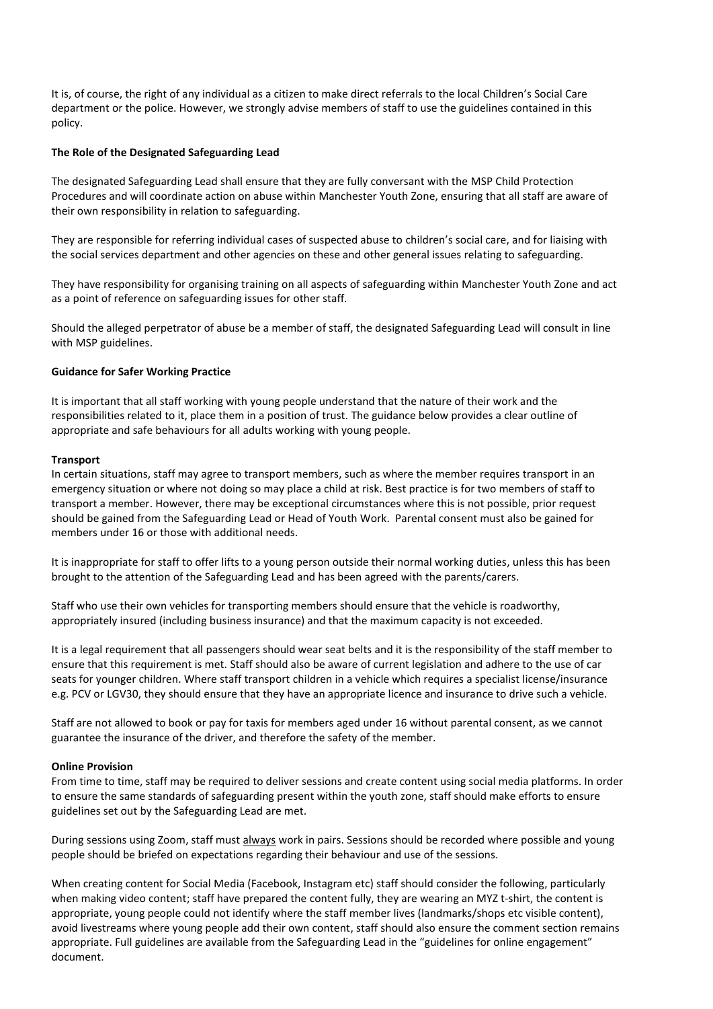It is, of course, the right of any individual as a citizen to make direct referrals to the local Children's Social Care department or the police. However, we strongly advise members of staff to use the guidelines contained in this policy.

#### **The Role of the Designated Safeguarding Lead**

The designated Safeguarding Lead shall ensure that they are fully conversant with the MSP Child Protection Procedures and will coordinate action on abuse within Manchester Youth Zone, ensuring that all staff are aware of their own responsibility in relation to safeguarding.

They are responsible for referring individual cases of suspected abuse to children's social care, and for liaising with the social services department and other agencies on these and other general issues relating to safeguarding.

They have responsibility for organising training on all aspects of safeguarding within Manchester Youth Zone and act as a point of reference on safeguarding issues for other staff.

Should the alleged perpetrator of abuse be a member of staff, the designated Safeguarding Lead will consult in line with MSP guidelines.

#### **Guidance for Safer Working Practice**

It is important that all staff working with young people understand that the nature of their work and the responsibilities related to it, place them in a position of trust. The guidance below provides a clear outline of appropriate and safe behaviours for all adults working with young people.

#### **Transport**

In certain situations, staff may agree to transport members, such as where the member requires transport in an emergency situation or where not doing so may place a child at risk. Best practice is for two members of staff to transport a member. However, there may be exceptional circumstances where this is not possible, prior request should be gained from the Safeguarding Lead or Head of Youth Work. Parental consent must also be gained for members under 16 or those with additional needs.

It is inappropriate for staff to offer lifts to a young person outside their normal working duties, unless this has been brought to the attention of the Safeguarding Lead and has been agreed with the parents/carers.

Staff who use their own vehicles for transporting members should ensure that the vehicle is roadworthy, appropriately insured (including business insurance) and that the maximum capacity is not exceeded.

It is a legal requirement that all passengers should wear seat belts and it is the responsibility of the staff member to ensure that this requirement is met. Staff should also be aware of current legislation and adhere to the use of car seats for younger children. Where staff transport children in a vehicle which requires a specialist license/insurance e.g. PCV or LGV30, they should ensure that they have an appropriate licence and insurance to drive such a vehicle.

Staff are not allowed to book or pay for taxis for members aged under 16 without parental consent, as we cannot guarantee the insurance of the driver, and therefore the safety of the member.

#### **Online Provision**

From time to time, staff may be required to deliver sessions and create content using social media platforms. In order to ensure the same standards of safeguarding present within the youth zone, staff should make efforts to ensure guidelines set out by the Safeguarding Lead are met.

During sessions using Zoom, staff must always work in pairs. Sessions should be recorded where possible and young people should be briefed on expectations regarding their behaviour and use of the sessions.

When creating content for Social Media (Facebook, Instagram etc) staff should consider the following, particularly when making video content; staff have prepared the content fully, they are wearing an MYZ t-shirt, the content is appropriate, young people could not identify where the staff member lives (landmarks/shops etc visible content), avoid livestreams where young people add their own content, staff should also ensure the comment section remains appropriate. Full guidelines are available from the Safeguarding Lead in the "guidelines for online engagement" document.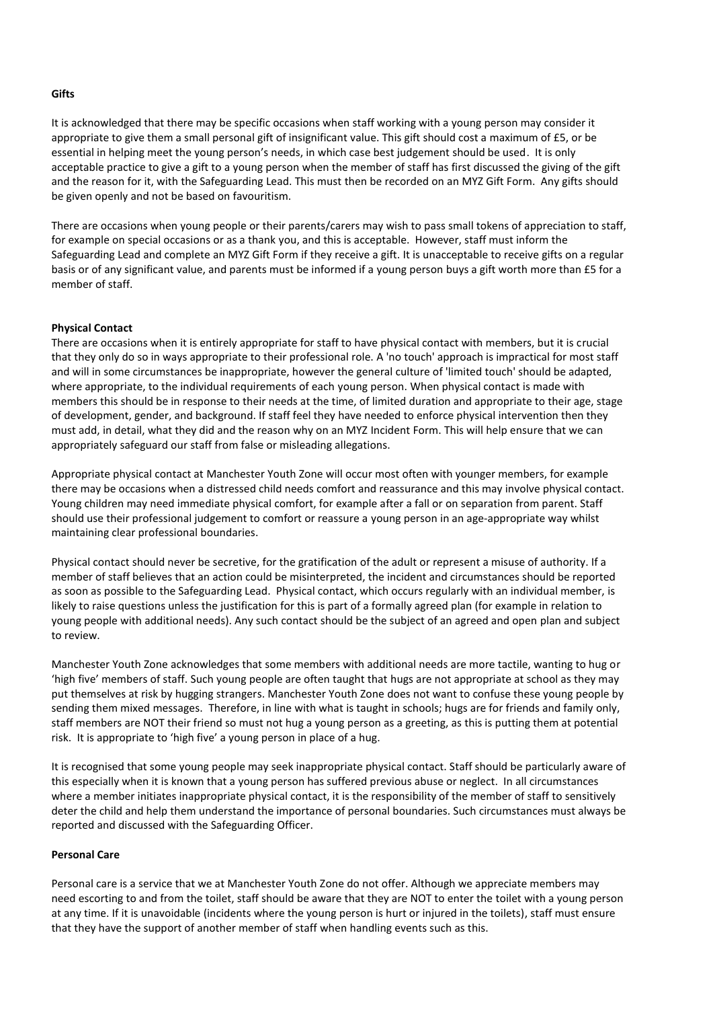#### **Gifts**

It is acknowledged that there may be specific occasions when staff working with a young person may consider it appropriate to give them a small personal gift of insignificant value. This gift should cost a maximum of £5, or be essential in helping meet the young person's needs, in which case best judgement should be used. It is only acceptable practice to give a gift to a young person when the member of staff has first discussed the giving of the gift and the reason for it, with the Safeguarding Lead. This must then be recorded on an MYZ Gift Form. Any gifts should be given openly and not be based on favouritism.

There are occasions when young people or their parents/carers may wish to pass small tokens of appreciation to staff, for example on special occasions or as a thank you, and this is acceptable. However, staff must inform the Safeguarding Lead and complete an MYZ Gift Form if they receive a gift. It is unacceptable to receive gifts on a regular basis or of any significant value, and parents must be informed if a young person buys a gift worth more than £5 for a member of staff.

#### **Physical Contact**

There are occasions when it is entirely appropriate for staff to have physical contact with members, but it is crucial that they only do so in ways appropriate to their professional role. A 'no touch' approach is impractical for most staff and will in some circumstances be inappropriate, however the general culture of 'limited touch' should be adapted, where appropriate, to the individual requirements of each young person. When physical contact is made with members this should be in response to their needs at the time, of limited duration and appropriate to their age, stage of development, gender, and background. If staff feel they have needed to enforce physical intervention then they must add, in detail, what they did and the reason why on an MYZ Incident Form. This will help ensure that we can appropriately safeguard our staff from false or misleading allegations.

Appropriate physical contact at Manchester Youth Zone will occur most often with younger members, for example there may be occasions when a distressed child needs comfort and reassurance and this may involve physical contact. Young children may need immediate physical comfort, for example after a fall or on separation from parent. Staff should use their professional judgement to comfort or reassure a young person in an age-appropriate way whilst maintaining clear professional boundaries.

Physical contact should never be secretive, for the gratification of the adult or represent a misuse of authority. If a member of staff believes that an action could be misinterpreted, the incident and circumstances should be reported as soon as possible to the Safeguarding Lead. Physical contact, which occurs regularly with an individual member, is likely to raise questions unless the justification for this is part of a formally agreed plan (for example in relation to young people with additional needs). Any such contact should be the subject of an agreed and open plan and subject to review.

Manchester Youth Zone acknowledges that some members with additional needs are more tactile, wanting to hug or 'high five' members of staff. Such young people are often taught that hugs are not appropriate at school as they may put themselves at risk by hugging strangers. Manchester Youth Zone does not want to confuse these young people by sending them mixed messages. Therefore, in line with what is taught in schools; hugs are for friends and family only, staff members are NOT their friend so must not hug a young person as a greeting, as this is putting them at potential risk. It is appropriate to 'high five' a young person in place of a hug.

It is recognised that some young people may seek inappropriate physical contact. Staff should be particularly aware of this especially when it is known that a young person has suffered previous abuse or neglect. In all circumstances where a member initiates inappropriate physical contact, it is the responsibility of the member of staff to sensitively deter the child and help them understand the importance of personal boundaries. Such circumstances must always be reported and discussed with the Safeguarding Officer.

#### **Personal Care**

Personal care is a service that we at Manchester Youth Zone do not offer. Although we appreciate members may need escorting to and from the toilet, staff should be aware that they are NOT to enter the toilet with a young person at any time. If it is unavoidable (incidents where the young person is hurt or injured in the toilets), staff must ensure that they have the support of another member of staff when handling events such as this.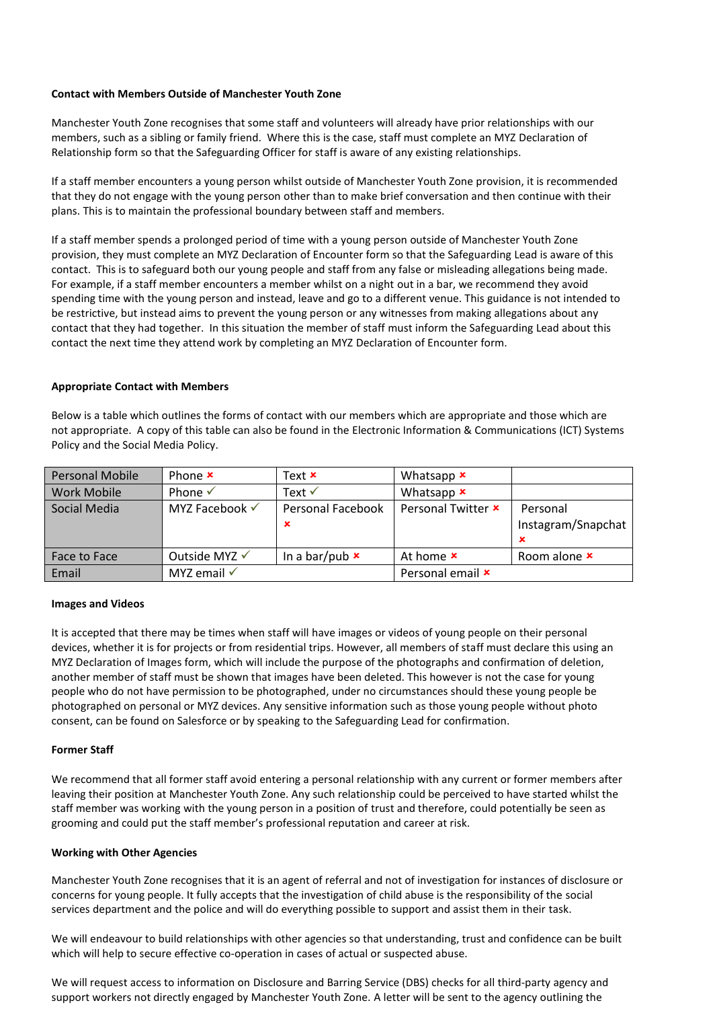#### **Contact with Members Outside of Manchester Youth Zone**

Manchester Youth Zone recognises that some staff and volunteers will already have prior relationships with our members, such as a sibling or family friend. Where this is the case, staff must complete an MYZ Declaration of Relationship form so that the Safeguarding Officer for staff is aware of any existing relationships.

If a staff member encounters a young person whilst outside of Manchester Youth Zone provision, it is recommended that they do not engage with the young person other than to make brief conversation and then continue with their plans. This is to maintain the professional boundary between staff and members.

If a staff member spends a prolonged period of time with a young person outside of Manchester Youth Zone provision, they must complete an MYZ Declaration of Encounter form so that the Safeguarding Lead is aware of this contact. This is to safeguard both our young people and staff from any false or misleading allegations being made. For example, if a staff member encounters a member whilst on a night out in a bar, we recommend they avoid spending time with the young person and instead, leave and go to a different venue. This guidance is not intended to be restrictive, but instead aims to prevent the young person or any witnesses from making allegations about any contact that they had together. In this situation the member of staff must inform the Safeguarding Lead about this contact the next time they attend work by completing an MYZ Declaration of Encounter form.

#### **Appropriate Contact with Members**

Below is a table which outlines the forms of contact with our members which are appropriate and those which are not appropriate. A copy of this table can also be found in the Electronic Information & Communications (ICT) Systems Policy and the Social Media Policy.

| <b>Personal Mobile</b> | Phone $x$                 | Text $x$               | Whatsapp $\boldsymbol{\mathsf{x}}$ |                                     |
|------------------------|---------------------------|------------------------|------------------------------------|-------------------------------------|
| Work Mobile            | Phone $\checkmark$        | Text $\checkmark$      | Whatsapp $x$                       |                                     |
| Social Media           | MYZ Facebook $\checkmark$ | Personal Facebook<br>∗ | Personal Twitter <b>x</b>          | Personal<br>Instagram/Snapchat<br>× |
| Face to Face           | Outside MYZ √             | In a bar/pub $\times$  | At home <b>x</b>                   | Room alone <b>x</b>                 |
| Email                  | MYZ email $\checkmark$    |                        | Personal email <b>x</b>            |                                     |

#### **Images and Videos**

It is accepted that there may be times when staff will have images or videos of young people on their personal devices, whether it is for projects or from residential trips. However, all members of staff must declare this using an MYZ Declaration of Images form, which will include the purpose of the photographs and confirmation of deletion, another member of staff must be shown that images have been deleted. This however is not the case for young people who do not have permission to be photographed, under no circumstances should these young people be photographed on personal or MYZ devices. Any sensitive information such as those young people without photo consent, can be found on Salesforce or by speaking to the Safeguarding Lead for confirmation.

#### **Former Staff**

We recommend that all former staff avoid entering a personal relationship with any current or former members after leaving their position at Manchester Youth Zone. Any such relationship could be perceived to have started whilst the staff member was working with the young person in a position of trust and therefore, could potentially be seen as grooming and could put the staff member's professional reputation and career at risk.

#### **Working with Other Agencies**

Manchester Youth Zone recognises that it is an agent of referral and not of investigation for instances of disclosure or concerns for young people. It fully accepts that the investigation of child abuse is the responsibility of the social services department and the police and will do everything possible to support and assist them in their task.

We will endeavour to build relationships with other agencies so that understanding, trust and confidence can be built which will help to secure effective co-operation in cases of actual or suspected abuse.

We will request access to information on Disclosure and Barring Service (DBS) checks for all third-party agency and support workers not directly engaged by Manchester Youth Zone. A letter will be sent to the agency outlining the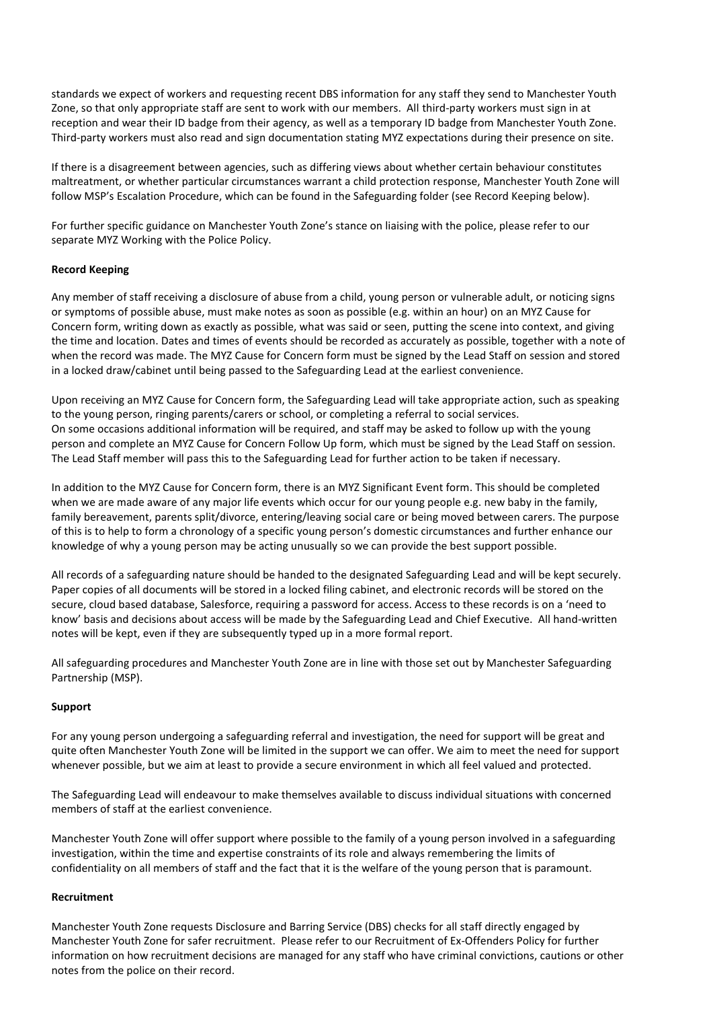standards we expect of workers and requesting recent DBS information for any staff they send to Manchester Youth Zone, so that only appropriate staff are sent to work with our members. All third-party workers must sign in at reception and wear their ID badge from their agency, as well as a temporary ID badge from Manchester Youth Zone. Third-party workers must also read and sign documentation stating MYZ expectations during their presence on site.

If there is a disagreement between agencies, such as differing views about whether certain behaviour constitutes maltreatment, or whether particular circumstances warrant a child protection response, Manchester Youth Zone will follow MSP's Escalation Procedure, which can be found in the Safeguarding folder (see Record Keeping below).

For further specific guidance on Manchester Youth Zone's stance on liaising with the police, please refer to our separate MYZ Working with the Police Policy.

#### **Record Keeping**

Any member of staff receiving a disclosure of abuse from a child, young person or vulnerable adult, or noticing signs or symptoms of possible abuse, must make notes as soon as possible (e.g. within an hour) on an MYZ Cause for Concern form, writing down as exactly as possible, what was said or seen, putting the scene into context, and giving the time and location. Dates and times of events should be recorded as accurately as possible, together with a note of when the record was made. The MYZ Cause for Concern form must be signed by the Lead Staff on session and stored in a locked draw/cabinet until being passed to the Safeguarding Lead at the earliest convenience.

Upon receiving an MYZ Cause for Concern form, the Safeguarding Lead will take appropriate action, such as speaking to the young person, ringing parents/carers or school, or completing a referral to social services. On some occasions additional information will be required, and staff may be asked to follow up with the young person and complete an MYZ Cause for Concern Follow Up form, which must be signed by the Lead Staff on session. The Lead Staff member will pass this to the Safeguarding Lead for further action to be taken if necessary.

In addition to the MYZ Cause for Concern form, there is an MYZ Significant Event form. This should be completed when we are made aware of any major life events which occur for our young people e.g. new baby in the family, family bereavement, parents split/divorce, entering/leaving social care or being moved between carers. The purpose of this is to help to form a chronology of a specific young person's domestic circumstances and further enhance our knowledge of why a young person may be acting unusually so we can provide the best support possible.

All records of a safeguarding nature should be handed to the designated Safeguarding Lead and will be kept securely. Paper copies of all documents will be stored in a locked filing cabinet, and electronic records will be stored on the secure, cloud based database, Salesforce, requiring a password for access. Access to these records is on a 'need to know' basis and decisions about access will be made by the Safeguarding Lead and Chief Executive. All hand-written notes will be kept, even if they are subsequently typed up in a more formal report.

All safeguarding procedures and Manchester Youth Zone are in line with those set out by Manchester Safeguarding Partnership (MSP).

#### **Support**

For any young person undergoing a safeguarding referral and investigation, the need for support will be great and quite often Manchester Youth Zone will be limited in the support we can offer. We aim to meet the need for support whenever possible, but we aim at least to provide a secure environment in which all feel valued and protected.

The Safeguarding Lead will endeavour to make themselves available to discuss individual situations with concerned members of staff at the earliest convenience.

Manchester Youth Zone will offer support where possible to the family of a young person involved in a safeguarding investigation, within the time and expertise constraints of its role and always remembering the limits of confidentiality on all members of staff and the fact that it is the welfare of the young person that is paramount.

#### **Recruitment**

Manchester Youth Zone requests Disclosure and Barring Service (DBS) checks for all staff directly engaged by Manchester Youth Zone for safer recruitment. Please refer to our Recruitment of Ex-Offenders Policy for further information on how recruitment decisions are managed for any staff who have criminal convictions, cautions or other notes from the police on their record.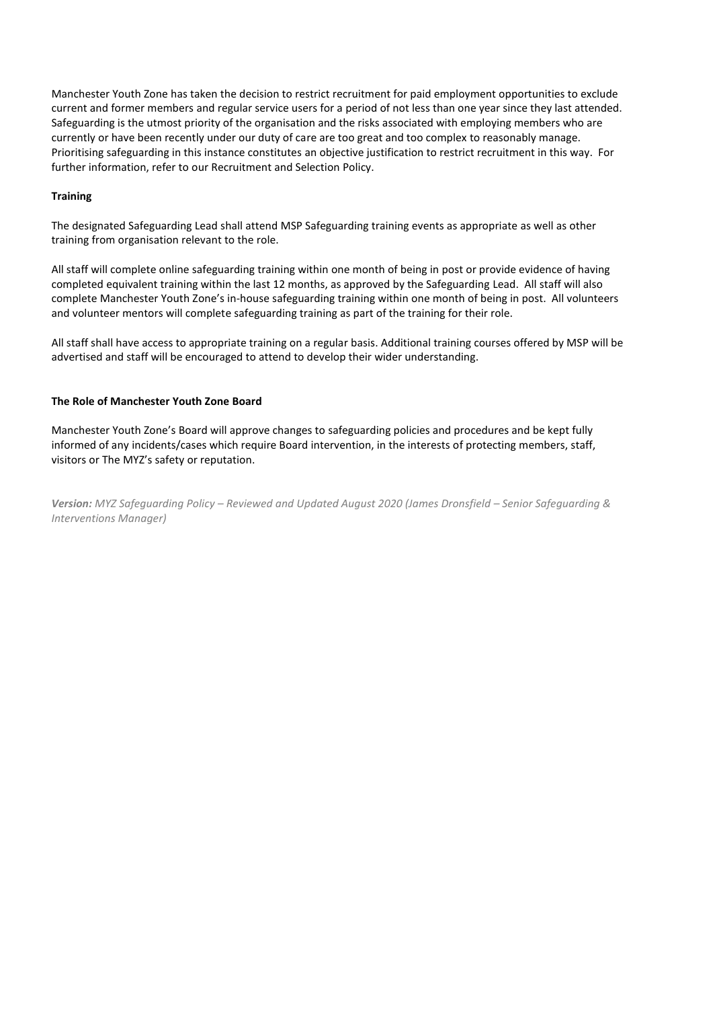Manchester Youth Zone has taken the decision to restrict recruitment for paid employment opportunities to exclude current and former members and regular service users for a period of not less than one year since they last attended. Safeguarding is the utmost priority of the organisation and the risks associated with employing members who are currently or have been recently under our duty of care are too great and too complex to reasonably manage. Prioritising safeguarding in this instance constitutes an objective justification to restrict recruitment in this way. For further information, refer to our Recruitment and Selection Policy.

#### **Training**

The designated Safeguarding Lead shall attend MSP Safeguarding training events as appropriate as well as other training from organisation relevant to the role.

All staff will complete online safeguarding training within one month of being in post or provide evidence of having completed equivalent training within the last 12 months, as approved by the Safeguarding Lead. All staff will also complete Manchester Youth Zone's in-house safeguarding training within one month of being in post. All volunteers and volunteer mentors will complete safeguarding training as part of the training for their role.

All staff shall have access to appropriate training on a regular basis. Additional training courses offered by MSP will be advertised and staff will be encouraged to attend to develop their wider understanding.

#### **The Role of Manchester Youth Zone Board**

Manchester Youth Zone's Board will approve changes to safeguarding policies and procedures and be kept fully informed of any incidents/cases which require Board intervention, in the interests of protecting members, staff, visitors or The MYZ's safety or reputation.

*Version: MYZ Safeguarding Policy – Reviewed and Updated August 2020 (James Dronsfield – Senior Safeguarding & Interventions Manager)*